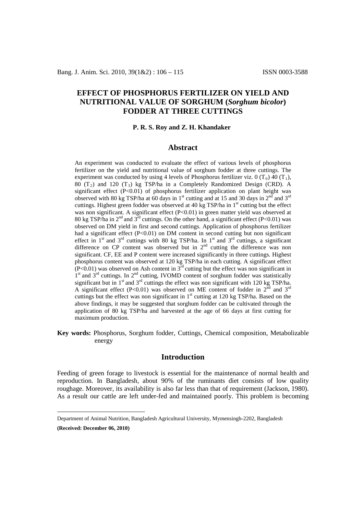# **EFFECT OF PHOSPHORUS FERTILIZER ON YIELD AND NUTRITIONAL VALUE OF SORGHUM (***Sorghum bicolor***) FODDER AT THREE CUTTINGS**

#### **P. R. S. Roy and Z. H. Khandaker[1](#page-0-0)**

### **Abstract**

An experiment was conducted to evaluate the effect of various levels of phosphorus fertilizer on the yield and nutritional value of sorghum fodder at three cuttings. The experiment was conducted by using 4 levels of Phosphorus fertilizer viz. 0  $(T_0)$  40  $(T_1)$ , 80 (T<sub>2</sub>) and 120 (T<sub>3</sub>) kg TSP/ha in a Completely Randomized Design (CRD). A significant effect (P<0.01) of phosphorus fertilizer application on plant height was observed with 80 kg TSP/ha at 60 days in 1<sup>st</sup> cutting and at 15 and 30 days in  $2^{nd}$  and  $3^{rd}$ cuttings. Highest green fodder was observed at 40 kg TSP/ha in  $1<sup>st</sup>$  cutting but the effect was non significant. A significant effect (P<0.01) in green matter yield was observed at 80 kg TSP/ha in  $2^{nd}$  and  $3^{rd}$  cuttings. On the other hand, a significant effect (P<0.01) was observed on DM yield in first and second cuttings. Application of phosphorus fertilizer had a significant effect (P<0.01) on DM content in second cutting but non significant effect in 1<sup>st</sup> and 3<sup>rd</sup> cuttings with 80 kg TSP/ha. In 1<sup>st</sup> and 3<sup>rd</sup> cuttings, a significant difference on CP content was observed but in  $2<sup>nd</sup>$  cutting the difference was non significant. CF, EE and P content were increased significantly in three cuttings. Highest phosphorus content was observed at 120 kg TSP/ha in each cutting. A significant effect  $($ P<0.01) was observed on Ash content in  $3<sup>rd</sup>$  cutting but the effect was non significant in 1<sup>st</sup> and 3<sup>rd</sup> cuttings. In 2<sup>nd</sup> cutting, IVOMD content of sorghum fodder was statistically significant but in  $1<sup>st</sup>$  and  $3<sup>rd</sup>$  cuttings the effect was non significant with 120 kg TSP/ha. A significant effect (P<0.01) was observed on ME content of fodder in  $2<sup>nd</sup>$  and  $3<sup>rd</sup>$ cuttings but the effect was non significant in  $1<sup>st</sup>$  cutting at 120 kg TSP/ha. Based on the above findings, it may be suggested that sorghum fodder can be cultivated through the application of 80 kg TSP/ha and harvested at the age of 66 days at first cutting for maximum production.

**Key words:** Phosphorus, Sorghum fodder, Cuttings, Chemical composition, Metabolizable energy

#### **Introduction**

Feeding of green forage to livestock is essential for the maintenance of normal health and reproduction. In Bangladesh, about 90% of the ruminants diet consists of low quality roughage. Moreover, its availability is also far less than that of requirement (Jackson, 1980). As a result our cattle are left under-fed and maintained poorly. This problem is becoming

<span id="page-0-0"></span>Department of Animal Nutrition, Bangladesh Agricultural University, Mymensingh-2202, Bangladesh

**<sup>(</sup>Received: December 06, 2010)**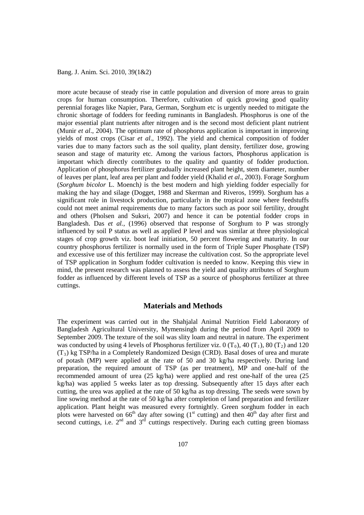more acute because of steady rise in cattle population and diversion of more areas to grain crops for human consumption. Therefore, cultivation of quick growing good quality perennial forages like Napier, Para, German, Sorghum etc is urgently needed to mitigate the chronic shortage of fodders for feeding ruminants in Bangladesh. Phosphorus is one of the major essential plant nutrients after nitrogen and is the second most deficient plant nutrient (Munir *et al*., 2004). The optimum rate of phosphorus application is important in improving yields of most crops (Cisar *et al*., 1992). The yield and chemical composition of fodder varies due to many factors such as the soil quality, plant density, fertilizer dose, growing season and stage of maturity etc. Among the various factors, Phosphorus application is important which directly contributes to the quality and quantity of fodder production. Application of phosphorus fertilizer gradually increased plant height, stem diameter, number of leaves per plant, leaf area per plant and fodder yield (Khalid *et al*., 2003). Forage Sorghum (*Sorghum bicolor* L. Moench*)* is the best modern and high yielding fodder especially for making the hay and silage (Dogget, 1988 and Skerman and Riveros, 1999). Sorghum has a significant role in livestock production, particularly in the tropical zone where feedstuffs could not meet animal requirements due to many factors such as poor soil fertility, drought and others (Pholsen and Suksri, 2007) and hence it can be potential fodder crops in Bangladesh. Das *et al.*, (1996) observed that response of Sorghum to P was strongly influenced by soil P status as well as applied P level and was similar at three physiological stages of crop growth viz. boot leaf initiation, 50 percent flowering and maturity. In our country phosphorus fertilizer is normally used in the form of Triple Super Phosphate (TSP) and excessive use of this fertilizer may increase the cultivation cost. So the appropriate level of TSP application in Sorghum fodder cultivation is needed to know. Keeping this view in mind, the present research was planned to assess the yield and quality attributes of Sorghum fodder as influenced by different levels of TSP as a source of phosphorus fertilizer at three cuttings.

## **Materials and Methods**

The experiment was carried out in the Shahjalal Animal Nutrition Field Laboratory of Bangladesh Agricultural University, Mymensingh during the period from April 2009 to September 2009. The texture of the soil was slity loam and neutral in nature. The experiment was conducted by using 4 levels of Phosphorus fertilizer viz. 0  $(T_0)$ , 40  $(T_1)$ , 80  $(T_2)$  and 120  $(T<sub>3</sub>)$  kg TSP/ha in a Completely Randomized Design (CRD). Basal doses of urea and murate of potash (MP) were applied at the rate of 50 and 30 kg/ha respectively. During land preparation, the required amount of TSP (as per treatment), MP and one-half of the recommended amount of urea (25 kg/ha) were applied and rest one-half of the urea (25 kg/ha) was applied 5 weeks later as top dressing. Subsequently after 15 days after each cutting, the urea was applied at the rate of  $50 \text{ kg/ha}$  as top dressing. The seeds were sown by line sowing method at the rate of 50 kg/ha after completion of land preparation and fertilizer application. Plant height was measured every fortnightly. Green sorghum fodder in each plots were harvested on  $66<sup>th</sup>$  day after sowing (1<sup>st</sup> cutting) and then  $40<sup>th</sup>$  day after first and second cuttings, i.e.  $2^{nd}$  and  $3^{rd}$  cuttings respectively. During each cutting green biomass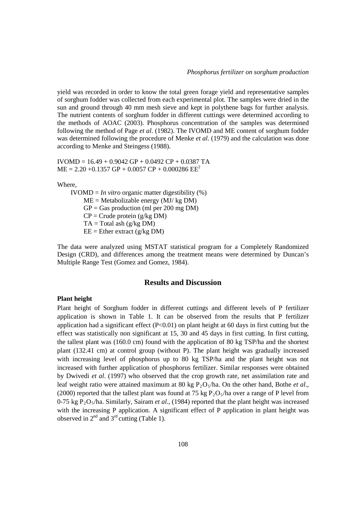yield was recorded in order to know the total green forage yield and representative samples of sorghum fodder was collected from each experimental plot. The samples were dried in the sun and ground through 40 mm mesh sieve and kept in polythene bags for further analysis. The nutrient contents of sorghum fodder in different cuttings were determined according to the methods of AOAC (2003). Phosphorus concentration of the samples was determined following the method of Page *et al*. (1982). The IVOMD and ME content of sorghum fodder was determined following the procedure of Menke *et al*. (1979) and the calculation was done according to Menke and Steingess (1988).

 $IVOMD = 16.49 + 0.9042$  GP + 0.0492 CP + 0.0387 TA  $ME = 2.20 + 0.1357$  GP + 0.0057 CP + 0.000286 EE<sup>2</sup>

Where,

 $IVOMD = In vitro organic matter digestibility (%)$  $ME = Metabolizable energy (MJ/kg DM)$  $GP = Gas$  production (ml per 200 mg DM)  $CP =$  Crude protein (g/kg DM)  $TA = Total$  ash ( $g/kg$  DM)  $EE = Ethernet (g/kg DM)$ 

The data were analyzed using MSTAT statistical program for a Completely Randomized Design (CRD), and differences among the treatment means were determined by Duncan's Multiple Range Test (Gomez and Gomez, 1984).

### **Results and Discussion**

#### **Plant height**

Plant height of Sorghum fodder in different cuttings and different levels of P fertilizer application is shown in Table 1. It can be observed from the results that P fertilizer application had a significant effect  $(P<0.01)$  on plant height at 60 days in first cutting but the effect was statistically non significant at 15, 30 and 45 days in first cutting. In first cutting, the tallest plant was (160.0 cm) found with the application of 80 kg TSP/ha and the shortest plant (132.41 cm) at control group (without P). The plant height was gradually increased with increasing level of phosphorus up to 80 kg TSP/ha and the plant height was not increased with further application of phosphorus fertilizer. Similar responses were obtained by Dwivedi *et al*. (1997) who observed that the crop growth rate, net assimilation rate and leaf weight ratio were attained maximum at 80 kg  $P_2O_5/ha$ . On the other hand, Bothe *et al.*, (2000) reported that the tallest plant was found at 75 kg  $P_2O_5/ha$  over a range of P level from 0-75 kg  $P_2O_5/ha$ . Similarly, Sairam *et al.*, (1984) reported that the plant height was increased with the increasing P application. A significant effect of P application in plant height was observed in  $2<sup>nd</sup>$  and  $3<sup>rd</sup>$  cutting (Table 1).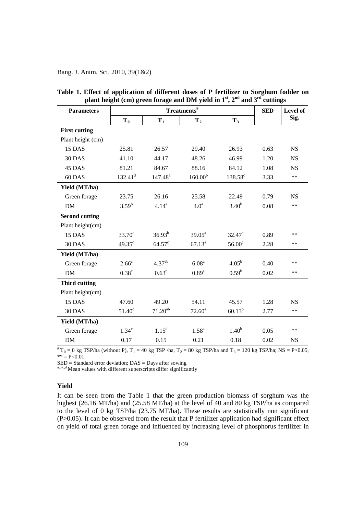| <b>Parameters</b>     |                   | <b>SED</b>         | Level of            |                     |      |            |
|-----------------------|-------------------|--------------------|---------------------|---------------------|------|------------|
|                       | $T_0$             | $T_1$              | T <sub>2</sub>      | $T_3$               |      | Sig.       |
| <b>First cutting</b>  |                   |                    |                     |                     |      |            |
| Plant height (cm)     |                   |                    |                     |                     |      |            |
| 15 DAS                | 25.81             | 26.57              | 29.40               | 26.93               | 0.63 | <b>NS</b>  |
| 30 DAS                | 41.10             | 44.17              | 48.26               | 46.99               | 1.20 | NS         |
| 45 DAS                | 81.21             | 84.67              | 88.16               | 84.12               | 1.08 | <b>NS</b>  |
| 60 DAS                | $132.41^d$        | $147.48^{a}$       | 160.00 <sup>b</sup> | 138.58 <sup>c</sup> | 3.33 | $\ast\ast$ |
| Yield (MT/ha)         |                   |                    |                     |                     |      |            |
| Green forage          | 23.75             | 26.16              | 25.58               | 22.49               | 0.79 | <b>NS</b>  |
| DM                    | $3.59^{b}$        | $4.14^{a}$         | 4.0 <sup>a</sup>    | 3.40 <sup>b</sup>   | 0.08 | $\ast\ast$ |
| <b>Second cutting</b> |                   |                    |                     |                     |      |            |
| Plant height(cm)      |                   |                    |                     |                     |      |            |
| 15 DAS                | $33.70^{\circ}$   | $36.93^{b}$        | $39.05^{\text{a}}$  | $32.47^{\circ}$     | 0.89 | **         |
| 30 DAS                | $49.35^d$         | $64.57^c$          | $67.13^a$           | 56.00 <sup>c</sup>  | 2.28 | $***$      |
| Yield (MT/ha)         |                   |                    |                     |                     |      |            |
| Green forage          | 2.66 <sup>c</sup> | 4.37 <sup>ab</sup> | 6.08 <sup>a</sup>   | $4.05^{\rm b}$      | 0.40 | **         |
| <b>DM</b>             | $0.38^{\circ}$    | $0.63^b$           | 0.89 <sup>a</sup>   | $0.59^{\rm b}$      | 0.02 | $***$      |
| <b>Third cutting</b>  |                   |                    |                     |                     |      |            |
| Plant height(cm)      |                   |                    |                     |                     |      |            |
| 15 DAS                | 47.60             | 49.20              | 54.11               | 45.57               | 1.28 | <b>NS</b>  |
| <b>30 DAS</b>         | $51.40^{\circ}$   | $71.20^{ab}$       | $72.60^a$           | $60.13^{b}$         | 2.77 | $\ast\ast$ |
| Yield (MT/ha)         |                   |                    |                     |                     |      |            |
| Green forage          | 1.34 <sup>c</sup> | $1.15^d$           | $1.58^{a}$          | 1.40 <sup>b</sup>   | 0.05 | $***$      |
| <b>DM</b>             | 0.17              | 0.15               | 0.21                | 0.18                | 0.02 | <b>NS</b>  |

|  | Table 1. Effect of application of different doses of P fertilizer to Sorghum fodder on |  |  |  |
|--|----------------------------------------------------------------------------------------|--|--|--|
|  | plant height (cm) green forage and DM yield in $1st$ , $2nd$ and $3rd$ cuttings        |  |  |  |

 $*T_0 = 0$  kg TSP/ha (without P),  $T_1 = 40$  kg TSP /ha,  $T_2 = 80$  kg TSP/ha and  $T_3 = 120$  kg TSP/ha; NS = P>0.05,  $** = P < 0.01$ 

SED = Standard error deviation; DAS = Days after sowing

a,b,c,d Mean values with different superscripts differ significantly

### **Yield**

It can be seen from the Table 1 that the green production biomass of sorghum was the highest (26.16 MT/ha) and (25.58 MT/ha) at the level of 40 and 80 kg TSP/ha as compared to the level of 0 kg TSP/ha (23.75 MT/ha). These results are statistically non significant (P>0.05). It can be observed from the result that P fertilizer application had significant effect on yield of total green forage and influenced by increasing level of phosphorus fertilizer in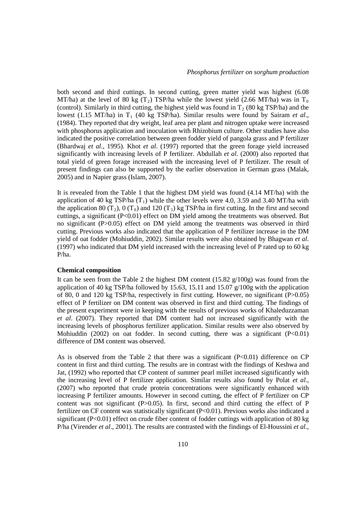both second and third cuttings. In second cutting, green matter yield was highest (6.08 MT/ha) at the level of 80 kg (T<sub>2</sub>) TSP/ha while the lowest yield (2.66 MT/ha) was in T<sub>0</sub> (control). Similarly in third cutting, the highest yield was found in  $T_2$  (80 kg TSP/ha) and the lowest (1.15 MT/ha) in T<sub>1</sub> (40 kg TSP/ha). Similar results were found by Sairam *et al.*, (1984). They reported that dry weight, leaf area per plant and nitrogen uptake were increased with phosphorus application and inoculation with Rhizobium culture. Other studies have also indicated the positive correlation between green fodder yield of pangola grass and P fertilizer (Bhardwaj *et al*., 1995). Khot *et al*. (1997) reported that the green forage yield increased significantly with increasing levels of P fertilizer. Abdullah *et al*. (2000) also reported that total yield of green forage increased with the increasing level of P fertilizer. The result of present findings can also be supported by the earlier observation in German grass (Malak, 2005) and in Napier grass (Islam, 2007).

It is revealed from the Table 1 that the highest DM yield was found (4.14 MT/ha) with the application of 40 kg TSP/ha  $(T_1)$  while the other levels were 4.0, 3.59 and 3.40 MT/ha with the application 80 (T<sub>2</sub>), 0 (T<sub>0</sub>) and 120 (T<sub>3</sub>) kg TSP/ha in first cutting. In the first and second cuttings, a significant  $(P<0.01)$  effect on DM yield among the treatments was observed. But no significant (P>0.05) effect on DM yield among the treatments was observed in third cutting. Previous works also indicated that the application of P fertilizer increase in the DM yield of oat fodder (Mohiuddin, 2002). Similar results were also obtained by Bhagwan *et al*. (1997) who indicated that DM yield increased with the increasing level of P rated up to 60 kg P/ha.

#### **Chemical composition**

It can be seen from the Table 2 the highest DM content  $(15.82 \text{ g}/100 \text{g})$  was found from the application of 40 kg TSP/ha followed by 15.63, 15.11 and 15.07 g/100g with the application of 80, 0 and 120 kg TSP/ha, respectively in first cutting. However, no significant (P>0.05) effect of P fertilizer on DM content was observed in first and third cutting. The findings of the present experiment were in keeping with the results of previous works of Khaleduzzaman *et al*. (2007). They reported that DM content had not increased significantly with the increasing levels of phosphorus fertilizer application. Similar results were also observed by Mohiuddin (2002) on oat fodder. In second cutting, there was a significant  $(P<0.01)$ difference of DM content was observed.

As is observed from the Table 2 that there was a significant  $(P<0.01)$  difference on CP content in first and third cutting. The results are in contrast with the findings of Keshwa and Jat, (1992) who reported that CP content of summer pearl millet increased significantly with the increasing level of P fertilizer application. Similar results also found by Polat *et al*., (2007) who reported that crude protein concentrations were significantly enhanced with increasing P fertilizer amounts. However in second cutting, the effect of P fertilizer on CP content was not significant  $(P>0.05)$ . In first, second and third cutting the effect of P fertilizer on CF content was statistically significant (P<0.01). Previous works also indicated a significant (P<0.01) effect on crude fiber content of fodder cuttings with application of 80 kg P/ha (Virender *et al*., 2001). The results are contrasted with the findings of El-Houssini *et al*.,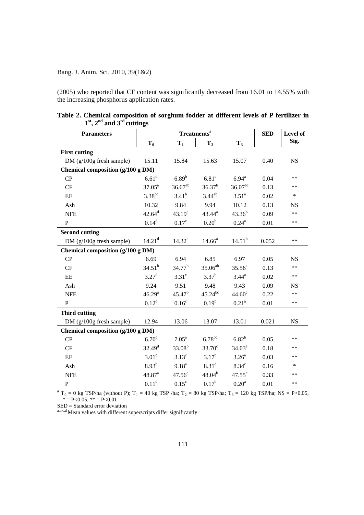(2005) who reported that CF content was significantly decreased from 16.01 to 14.55% with the increasing phosphorus application rates.

| <b>Parameters</b>                   |                    | Treatments <sup>#</sup> | <b>SED</b>        | Level of           |       |           |  |  |
|-------------------------------------|--------------------|-------------------------|-------------------|--------------------|-------|-----------|--|--|
|                                     | $T_0$              | $T_1$                   | T <sub>2</sub>    | $T_3$              |       | Sig.      |  |  |
| <b>First cutting</b>                |                    |                         |                   |                    |       |           |  |  |
| DM (g/100g fresh sample)            | 15.11              | 15.84                   | 15.63             | 15.07              | 0.40  | <b>NS</b> |  |  |
| Chemical composition (g/100 g DM)   |                    |                         |                   |                    |       |           |  |  |
| CP                                  | 6.61 <sup>d</sup>  | 6.89 <sup>b</sup>       | 6.81 <sup>c</sup> | $6.94^{\circ}$     | 0.04  | **        |  |  |
| CF                                  | $37.05^{\rm a}$    | $36.67^{ab}$            | $36.37^{b}$       | $36.07^{bc}$       | 0.13  | $**$      |  |  |
| $\rm EE$                            | $3.38^{bc}$        | $3.41^{b}$              | $3.44^{ab}$       | $3.51^{\rm a}$     | 0.02  | $\ast$    |  |  |
| Ash                                 | 10.32              | 9.84                    | 9.94              | 10.12              | 0.13  | <b>NS</b> |  |  |
| <b>NFE</b>                          | $42.64^{\rm d}$    | $43.19^{\circ}$         | $43.44^{\rm a}$   | $43.36^{b}$        | 0.09  | **        |  |  |
| ${\bf P}$                           | $0.14^{d}$         | 0.17 <sup>c</sup>       | 0.20 <sup>b</sup> | $0.24^{\rm a}$     | 0.01  | $***$     |  |  |
| <b>Second cutting</b>               |                    |                         |                   |                    |       |           |  |  |
| DM (g/100g fresh sample)            | 14.21 <sup>d</sup> | $14.32^{\circ}$         | $14.66^a$         | $14.51^{b}$        | 0.052 | $***$     |  |  |
| Chemical composition (g/100 g DM)   |                    |                         |                   |                    |       |           |  |  |
| CP                                  | 6.69               | 6.94                    | 6.85              | 6.97               | 0.05  | <b>NS</b> |  |  |
| CF                                  | $34.51^{b}$        | $34.77^b$               | $35.06^{ab}$      | $35.56^{a}$        | 0.13  | $**$      |  |  |
| $\rm{EE}$                           | $3.27^{\rm d}$     | 3.31 <sup>c</sup>       | $3.37^{b}$        | $3.44^{\circ}$     | 0.02  | **        |  |  |
| Ash                                 | 9.24               | 9.51                    | 9.48              | 9.43               | 0.09  | <b>NS</b> |  |  |
| <b>NFE</b>                          | 46.29 <sup>a</sup> | $45.47^{b}$             | $45.24^{bc}$      | 44.60 <sup>c</sup> | 0.22  | **        |  |  |
| P                                   | $0.12^d$           | 0.16 <sup>c</sup>       | $0.19^b$          | $0.21^{\rm a}$     | 0.01  | $***$     |  |  |
| <b>Third cutting</b>                |                    |                         |                   |                    |       |           |  |  |
| DM (g/100g fresh sample)            | 12.94              | 13.06                   | 13.07             | 13.01              | 0.021 | <b>NS</b> |  |  |
| Chemical composition $(g/100 g DM)$ |                    |                         |                   |                    |       |           |  |  |
| CP                                  | 6.70 <sup>c</sup>  | 7.05 <sup>a</sup>       | $6.78^{bc}$       | $6.82^{b}$         | 0.05  | **        |  |  |
| CF                                  | $32.49^{d}$        | $33.08^{b}$             | $33.70^{\circ}$   | $34.03^{a}$        | 0.18  | $***$     |  |  |
| $\rm{EE}$                           | 3.01 <sup>d</sup>  | $3.13^{\circ}$          | $3.17^{b}$        | $3.26^{\rm a}$     | 0.03  | **        |  |  |
| Ash                                 | $8.93^{b}$         | $9.18^{a}$              | 8.31 <sup>d</sup> | 8.34 <sup>c</sup>  | 0.16  | $\ast$    |  |  |
| <b>NFE</b>                          | $48.87^{a}$        | 47.56 <sup>c</sup>      | $48.04^{b}$       | $47.55^{\circ}$    | 0.33  | **        |  |  |
| $\mathbf P$                         | $0.11^d$           | $0.15^{\circ}$          | $0.17^{b}$        | 0.20 <sup>a</sup>  | 0.01  | $***$     |  |  |

**Table 2. Chemical composition of sorghum fodder at different levels of P fertilizer in 1st, 2nd and 3rd cuttings**

 $*$  T<sub>0</sub> = 0 kg TSP/ha (without P); T<sub>1</sub> = 40 kg TSP /ha; T<sub>2</sub> = 80 kg TSP/ha; T<sub>3</sub> = 120 kg TSP/ha; NS = P>0.05,  $* = P < 0.05, ** = P < 0.01$ 

 $SED = Standard error deviation$ <br>  $a,b,c,d$  Mean values with different superscripts differ significantly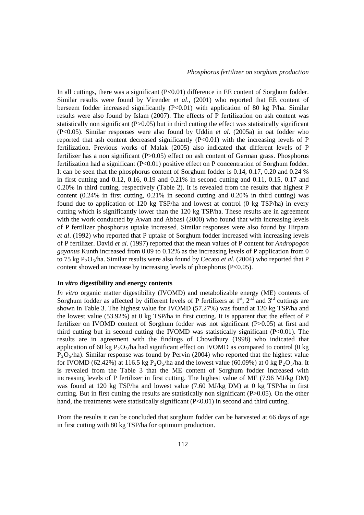In all cuttings, there was a significant  $(P< 0.01)$  difference in EE content of Sorghum fodder. Similar results were found by Virender *et al*., (2001) who reported that EE content of berseem fodder increased significantly  $(P<0.01)$  with application of 80 kg P/ha. Similar results were also found by Islam (2007). The effects of P fertilization on ash content was statistically non significant (P>0.05) but in third cutting the effect was statistically significant (P<0.05). Similar responses were also found by Uddin *et al*. (2005a) in oat fodder who reported that ash content decreased significantly  $(P<0.01)$  with the increasing levels of P fertilization. Previous works of Malak (2005) also indicated that different levels of P fertilizer has a non significant (P>0.05) effect on ash content of German grass. Phosphorus fertilization had a significant (P<0.01) positive effect on P concentration of Sorghum fodder. It can be seen that the phosphorus content of Sorghum fodder is 0.14, 0.17, 0.20 and 0.24 % in first cutting and 0.12, 0.16, 0.19 and 0.21% in second cutting and 0.11, 0.15, 0.17 and 0.20% in third cutting, respectively (Table 2). It is revealed from the results that highest P content (0.24% in first cutting, 0.21% in second cutting and 0.20% in third cutting) was found due to application of 120 kg TSP/ha and lowest at control (0 kg TSP/ha) in every cutting which is significantly lower than the 120 kg TSP/ha. These results are in agreement with the work conducted by Awan and Abbasi (2000) who found that with increasing levels of P fertilizer phosphorus uptake increased. Similar responses were also found by Hirpara *et al*. (1992) who reported that P uptake of Sorghum fodder increased with increasing levels of P fertilizer. David *et al*. (1997) reported that the mean values of P content for *Andropogon gayanus* Kunth increased from 0.09 to 0.12% as the increasing levels of P application from 0 to 75 kg P<sub>2</sub>O<sub>5</sub>/ha. Similar results were also found by Cecato *et al.* (2004) who reported that P content showed an increase by increasing levels of phosphorus (P<0.05).

#### *In vitro* **digestibility and energy contents**

*In vitro* organic matter digestibility (IVOMD) and metabolizable energy (ME) contents of Sorghum fodder as affected by different levels of P fertilizers at  $1<sup>st</sup>$ ,  $2<sup>nd</sup>$  and  $3<sup>rd</sup>$  cuttings are shown in Table 3. The highest value for IVOMD (57.27%) was found at 120 kg TSP/ha and the lowest value (53.92%) at 0 kg TSP/ha in first cutting. It is apparent that the effect of P fertilizer on IVOMD content of Sorghum fodder was not significant (P>0.05) at first and third cutting but in second cutting the IVOMD was statistically significant  $(P<0.01)$ . The results are in agreement with the findings of Chowdhury (1998) who indicated that application of 60 kg  $P_2O_5/ha$  had significant effect on IVOMD as compared to control (0 kg  $P_2O_5/ha$ ). Similar response was found by Pervin (2004) who reported that the highest value for IVOMD (62.42%) at 116.5 kg  $P_2O_5/ha$  and the lowest value (60.09%) at 0 kg  $P_2O_5/ha$ . It is revealed from the Table 3 that the ME content of Sorghum fodder increased with increasing levels of P fertilizer in first cutting. The highest value of ME (7.96 MJ/kg DM) was found at 120 kg TSP/ha and lowest value (7.60 MJ/kg DM) at 0 kg TSP/ha in first cutting. But in first cutting the results are statistically non significant (P>0.05). On the other hand, the treatments were statistically significant (P<0.01) in second and third cutting.

From the results it can be concluded that sorghum fodder can be harvested at 66 days of age in first cutting with 80 kg TSP/ha for optimum production.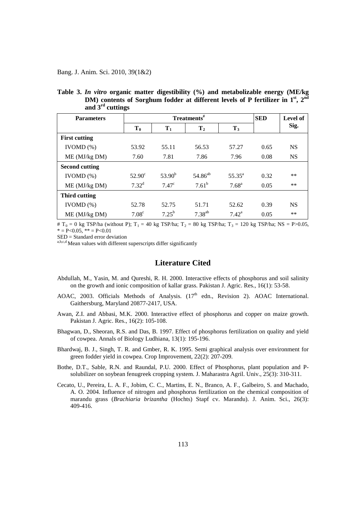Bang. J. Anim. Sci. 2010, 39(1&2)

| <b>Parameters</b>     |                   | Treatments <sup>#</sup> | <b>SED</b>     | Level of          |      |           |
|-----------------------|-------------------|-------------------------|----------------|-------------------|------|-----------|
|                       | $T_0$             | $T_1$                   | T <sub>2</sub> | $T_3$             |      | Sig.      |
| <b>First cutting</b>  |                   |                         |                |                   |      |           |
| IVOMD $(\%)$          | 53.92             | 55.11                   | 56.53          | 57.27             | 0.65 | <b>NS</b> |
| ME (MJ/kg DM)         | 7.60              | 7.81                    | 7.86           | 7.96              | 0.08 | <b>NS</b> |
| <b>Second cutting</b> |                   |                         |                |                   |      |           |
| IVOMD $(\%)$          | $52.90^\circ$     | $53.90^{b}$             | $54.86^{ab}$   | $55.35^{\circ}$   | 0.32 | **        |
| ME (MJ/kg DM)         | $7.32^d$          | 7.47 <sup>c</sup>       | $7.61^b$       | 7.68 <sup>a</sup> | 0.05 | **        |
| Third cutting         |                   |                         |                |                   |      |           |
| IVOMD $(\%)$          | 52.78             | 52.75                   | 51.71          | 52.62             | 0.39 | <b>NS</b> |
| ME (MJ/kg DM)         | 7.08 <sup>c</sup> | $7.25^{b}$              | $7.38^{ab}$    | $7.42^{\rm a}$    | 0.05 | **        |

**Table 3.** *In vitro* **organic matter digestibility (%) and metabolizable energy (ME/kg DM)** contents of Sorghum fodder at different levels of P fertilizer in 1<sup>st</sup>, 2<sup>nd</sup> **and 3rd cuttings**

#  $T_0 = 0$  kg TSP/ha (without P);  $T_1 = 40$  kg TSP/ha;  $T_2 = 80$  kg TSP/ha;  $T_3 = 120$  kg TSP/ha; NS = P>0.05,  $* = P < 0.05$ ,  $* = P < 0.01$ <br>SED = Standard error deviation

 $\mathbf{a}, \mathbf{b}, \mathbf{c}, \mathbf{d}$  Mean values with different superscripts differ significantly

### **Literature Cited**

- Abdullah, M., Yasin, M. and Qureshi, R. H. 2000. Interactive effects of phosphorus and soil salinity on the growth and ionic composition of kallar grass. Pakistan J. Agric. Res., 16(1): 53-58.
- AOAC, 2003. Officials Methods of Analysis.  $(17<sup>th</sup>$  edn., Revision 2). AOAC International. Gaithersburg, Maryland 20877-2417, USA.
- Awan, Z.I. and Abbasi, M.K. 2000. Interactive effect of phosphorus and copper on maize growth. Pakistan J. Agric. Res., 16(2): 105-108.
- Bhagwan, D., Sheoran, R.S. and Das, B. 1997. Effect of phosphorus fertilization on quality and yield of cowpea. Annals of Biology Ludhiana, 13(1): 195-196.
- Bhardwaj, B. J., Singh, T. R. and Gmber, R. K. 1995. Semi graphical analysis over environment for green fodder yield in cowpea. Crop Improvement, 22(2): 207-209.
- Bothe, D.T., Sable, R.N. and Raundal, P.U. 2000. Effect of Phosphorus, plant population and Psolubilizer on soybean fenugreek cropping system. J. Maharastra Agril. Univ., 25(3): 310-311.
- Cecato, U., Pereira, L. A. F., Jobim, C. C., Martins, E. N., Branco, A. F., Galbeiro, S. and Machado, A. O. 2004. Influence of nitrogen and phosphorus fertilization on the chemical composition of marandu grass (*Brachiaria brizantha* (Hochts) Stapf cv. Marandu). J. Anim. Sci., 26(3): 409-416.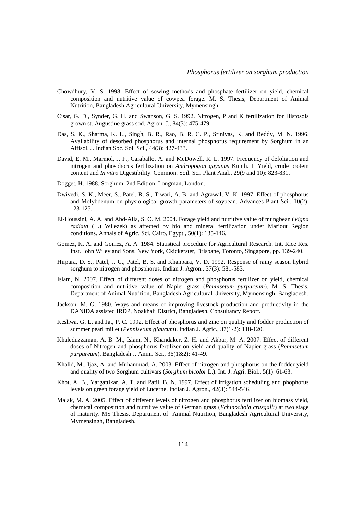- Chowdhury, V. S. 1998. Effect of sowing methods and phosphate fertilizer on yield, chemical composition and nutritive value of cowpea forage. M. S. Thesis, Department of Animal Nutrition, Bangladesh Agricultural University, Mymensingh.
- Cisar, G. D., Synder, G. H. and Swanson, G. S. 1992. Nitrogen, P and K fertilization for Histosols grown st. Augustine grass sod. Agron. J., 84(3): 475-479.
- Das, S. K., Sharma, K. L., Singh, B. R., Rao, B. R. C. P., Srinivas, K. and Reddy, M. N. 1996. Availability of desorbed phosphorus and internal phosphorus requirement by Sorghum in an Alfisol. J. Indian Soc. Soil Sci., 44(3): 427-433.
- David, E. M., Marmol, J. F., Caraballo, A. and McDowell, R. L. 1997. Frequency of defoliation and nitrogen and phosphorus fertilization on *Andropogon gayanus* Kunth. I. Yield, crude protein content and *In vitro* Digestibility. Common. Soil. Sci. Plant Anal., 29(9 and 10): 823-831.
- Dogget, H. 1988. Sorghum. 2nd Edition, Longman, London.
- Dwivedi, S. K., Meer, S., Patel, R. S., Tiwari, A. B. and Agrawal, V. K. 1997. Effect of phosphorus and Molybdenum on physiological growth parameters of soybean. Advances Plant Sci., 10(2): 123-125.
- El-Houssini, A. A. and Abd-Alla, S. O. M. 2004. Forage yield and nutritive value of mungbean (*Vigna radiata* (L.) Wilezek) as affected by bio and mineral fertilization under Mariout Region conditions. Annals of Agric. Sci. Cairo, Egypt., 50(1): 135-146.
- Gomez, K. A. and Gomez, A. A. 1984. Statistical procedure for Agricultural Research. Int. Rice Res. Inst. John Wiley and Sons. New York, Ckickerster, Brisbane, Toronto, Singapore, pp. 139-240.
- Hirpara, D. S., Patel, J. C., Patel, B. S. and Khanpara, V. D. 1992. Response of rainy season hybrid sorghum to nitrogen and phosphorus. Indian J. Agron., 37(3): 581-583.
- Islam, N. 2007. Effect of different doses of nitrogen and phosphorus fertilizer on yield, chemical composition and nutritive value of Napier grass (*Pennisetum purpureum*). M. S. Thesis. Department of Animal Nutrition, Bangladesh Agricultural University, Mymensingh, Bangladesh.
- Jackson, M. G. 1980. Ways and means of improving livestock production and productivity in the DANIDA assisted IRDP, Noakhali District, Bangladesh. Consultancy Report.
- Keshwa, G. L. and Jat, P. C. 1992. Effect of phosphorus and zinc on quality and fodder production of summer pearl millet (*Pennisetum glaucum*). Indian J. Agric., 37(1-2): 118-120.
- Khaleduzzaman, A. B. M., Islam, N., Khandaker, Z. H. and Akbar, M. A. 2007. Effect of different doses of Nitrogen and phosphorus fertilizer on yield and quality of Napier grass (*Pennisetum purpureum*). Bangladesh J. Anim. Sci., 36(1&2): 41-49.
- Khalid, M., Ijaz, A. and Muhammad, A. 2003. Effect of nitrogen and phosphorus on the fodder yield and quality of two Sorghum cultivars (*Sorghum bicolor* L.). Int. J. Agri. Biol., 5(1): 61-63.
- Khot, A. B., Yargattikar, A. T. and Patil, B. N. 1997. Effect of irrigation scheduling and phophorus levels on green forage yield of Lucerne. Indian J. Agron., 42(3): 544-546.
- Malak, M. A. 2005. Effect of different levels of nitrogen and phosphorus fertilizer on biomass yield, chemical composition and nutritive value of German grass (*Echinochola crusgalli*) at two stage of maturity. MS Thesis. Department of Animal Nutrition, Bangladesh Agricultural University, Mymensingh, Bangladesh.